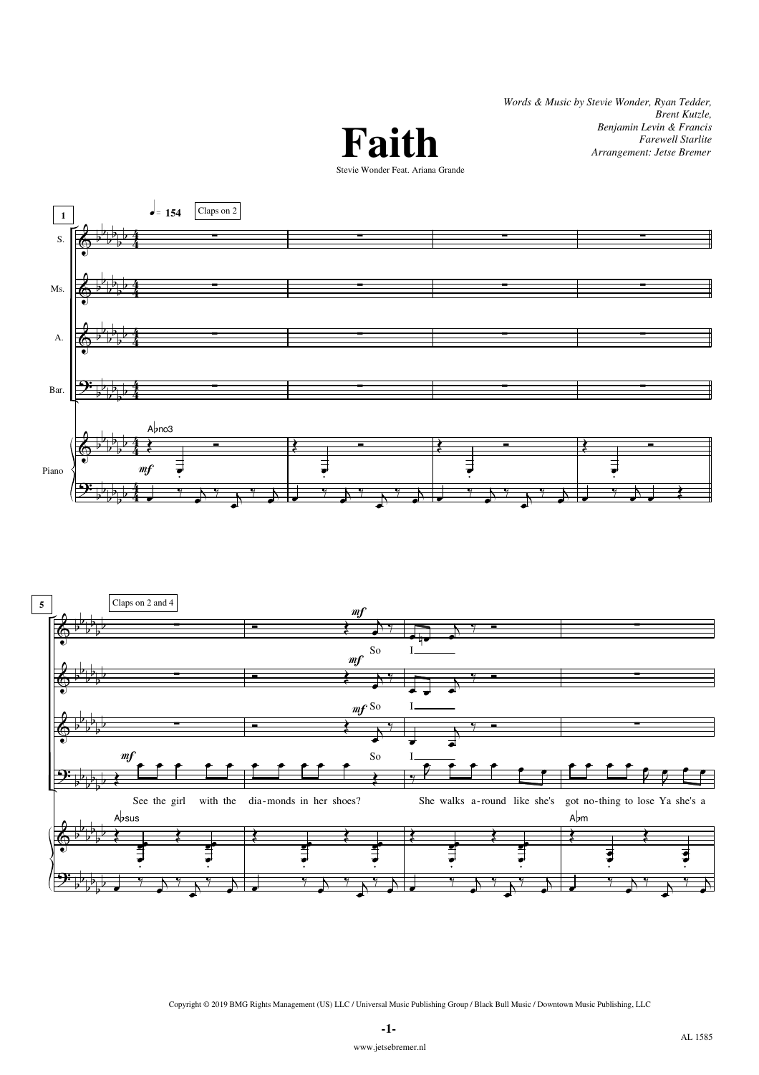*Words & Music by Stevie Wonder, Ryan Tedder, Brent Kutzle, Benjamin Levin & Francis Farewell Starlite Arrangement: Jetse Bremer*









Copyright © 2019 BMG Rights Management (US) LLC / Universal Music Publishing Group / Black Bull Music / Downtown Music Publishing, LLC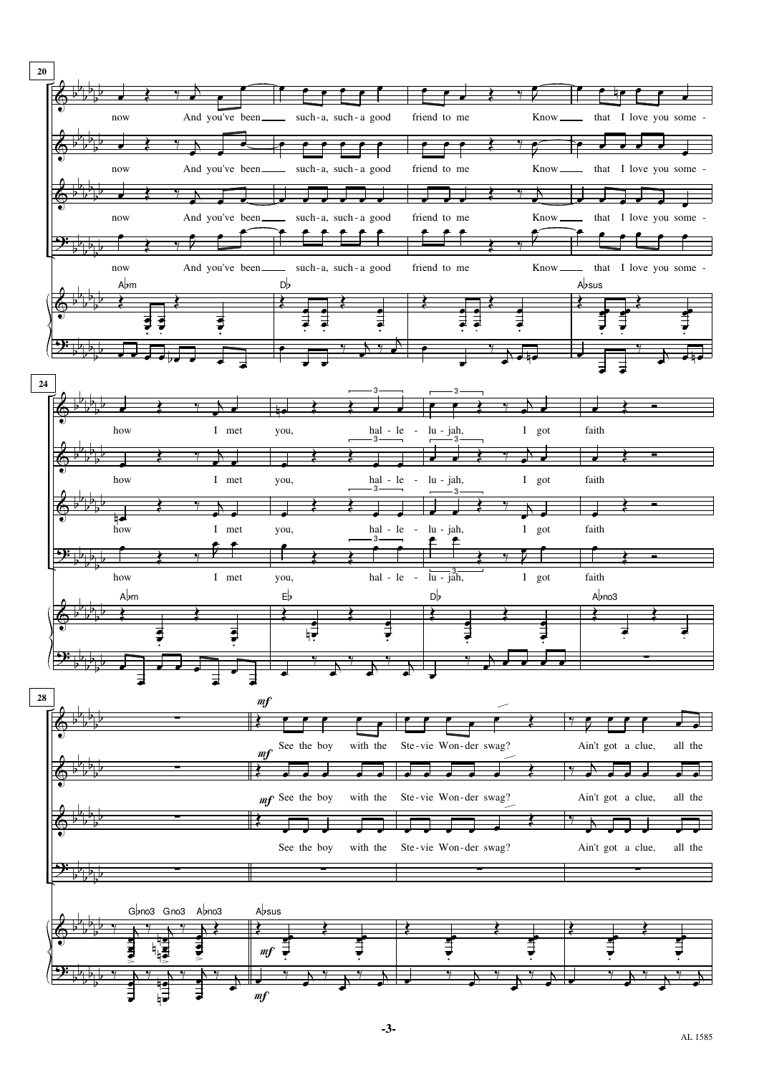

**-3-**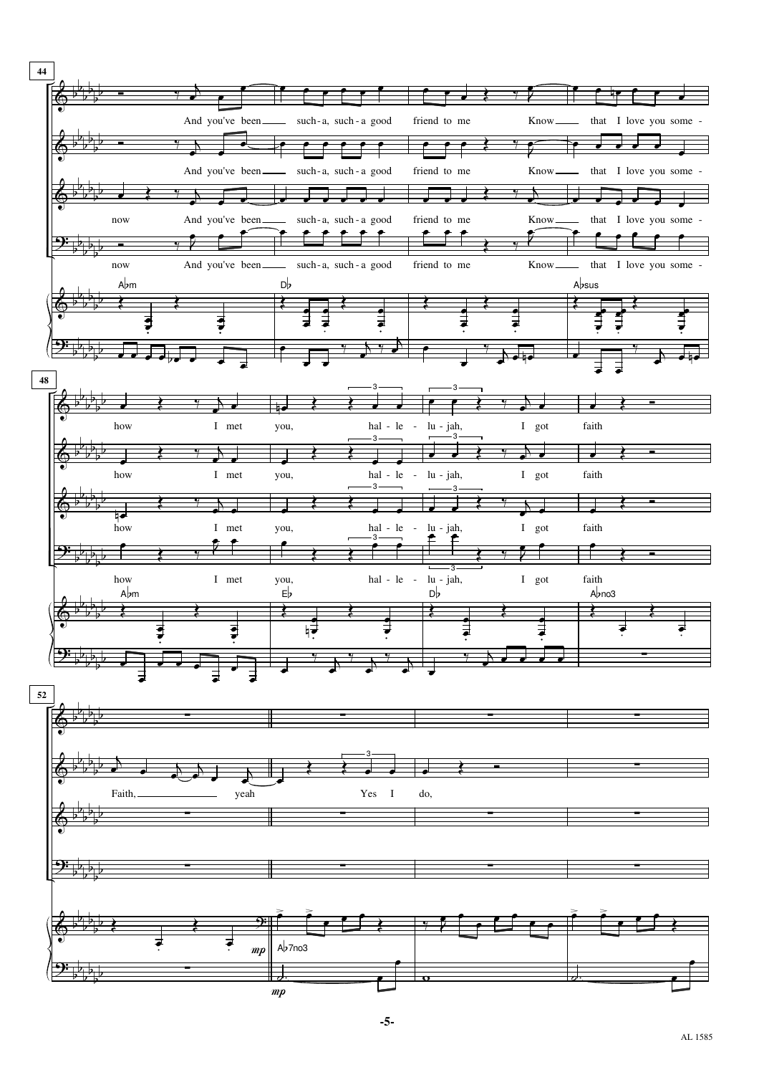

**-5-**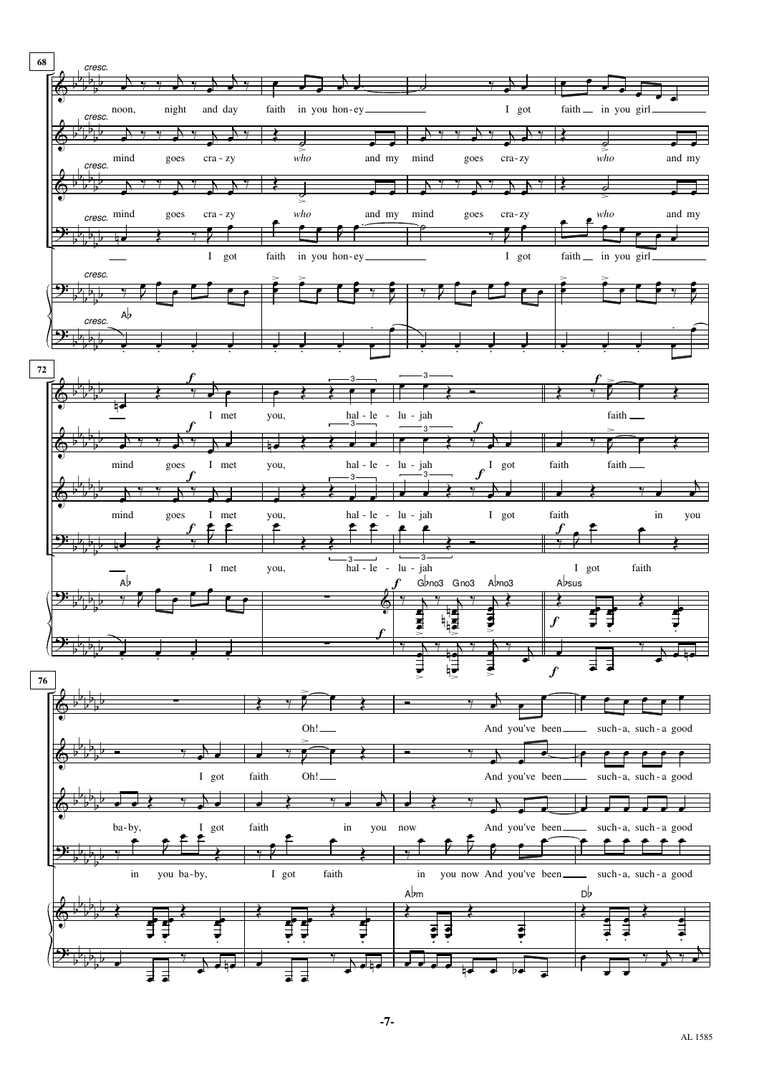

**-7-**